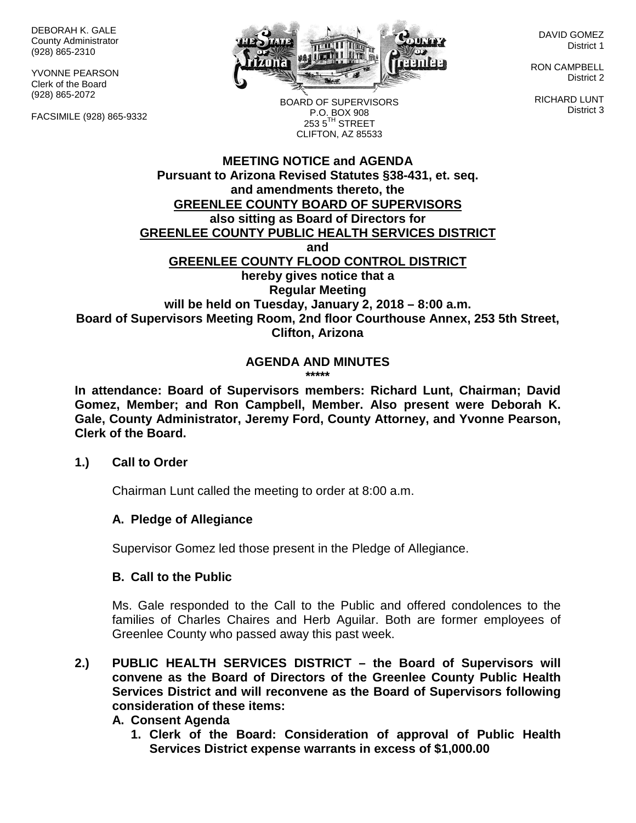DEBORAH K. GALE County Administrator (928) 865-2310

YVONNE PEARSON Clerk of the Board (928) 865-2072

FACSIMILE (928) 865-9332



DAVID GOMEZ District 1

RON CAMPBELL District 2

RICHARD LUNT District 3

BOARD OF SUPERVISORS P.O. BOX 908  $253.5$ <sup>TH</sup> STREET CLIFTON, AZ 85533

## **MEETING NOTICE and AGENDA Pursuant to Arizona Revised Statutes §38-431, et. seq. and amendments thereto, the GREENLEE COUNTY BOARD OF SUPERVISORS also sitting as Board of Directors for GREENLEE COUNTY PUBLIC HEALTH SERVICES DISTRICT and GREENLEE COUNTY FLOOD CONTROL DISTRICT hereby gives notice that a Regular Meeting will be held on Tuesday, January 2, 2018 – 8:00 a.m. Board of Supervisors Meeting Room, 2nd floor Courthouse Annex, 253 5th Street, Clifton, Arizona**

#### **AGENDA AND MINUTES \*\*\*\*\***

**In attendance: Board of Supervisors members: Richard Lunt, Chairman; David Gomez, Member; and Ron Campbell, Member. Also present were Deborah K. Gale, County Administrator, Jeremy Ford, County Attorney, and Yvonne Pearson, Clerk of the Board.**

#### **1.) Call to Order**

Chairman Lunt called the meeting to order at 8:00 a.m.

# **A. Pledge of Allegiance**

Supervisor Gomez led those present in the Pledge of Allegiance.

# **B. Call to the Public**

Ms. Gale responded to the Call to the Public and offered condolences to the families of Charles Chaires and Herb Aguilar. Both are former employees of Greenlee County who passed away this past week.

**2.) PUBLIC HEALTH SERVICES DISTRICT – the Board of Supervisors will convene as the Board of Directors of the Greenlee County Public Health Services District and will reconvene as the Board of Supervisors following consideration of these items:**

# **A. Consent Agenda**

**1. Clerk of the Board: Consideration of approval of Public Health Services District expense warrants in excess of \$1,000.00**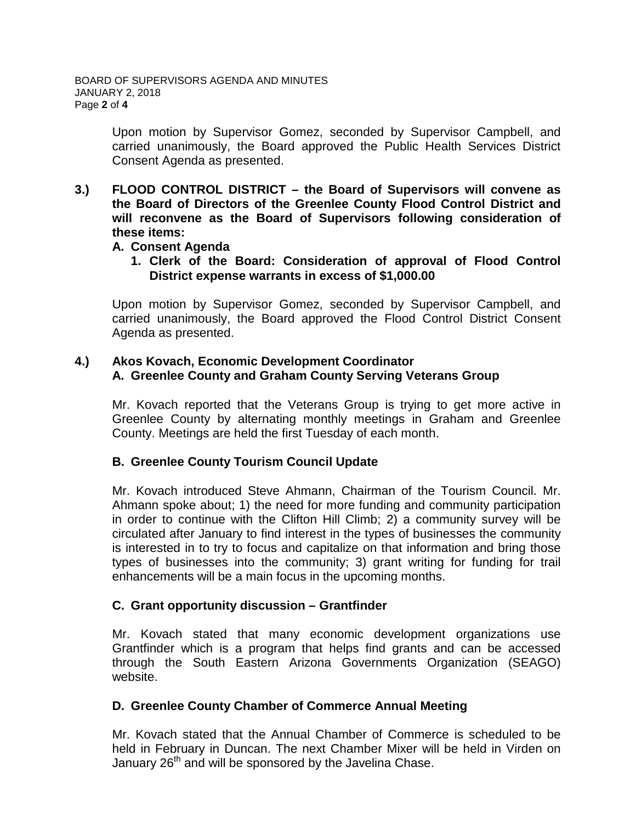Upon motion by Supervisor Gomez, seconded by Supervisor Campbell, and carried unanimously, the Board approved the Public Health Services District Consent Agenda as presented.

**3.) FLOOD CONTROL DISTRICT – the Board of Supervisors will convene as the Board of Directors of the Greenlee County Flood Control District and will reconvene as the Board of Supervisors following consideration of these items:**

## **A. Consent Agenda**

**1. Clerk of the Board: Consideration of approval of Flood Control District expense warrants in excess of \$1,000.00**

Upon motion by Supervisor Gomez, seconded by Supervisor Campbell, and carried unanimously, the Board approved the Flood Control District Consent Agenda as presented.

# **4.) Akos Kovach, Economic Development Coordinator A. Greenlee County and Graham County Serving Veterans Group**

Mr. Kovach reported that the Veterans Group is trying to get more active in Greenlee County by alternating monthly meetings in Graham and Greenlee County. Meetings are held the first Tuesday of each month.

# **B. Greenlee County Tourism Council Update**

Mr. Kovach introduced Steve Ahmann, Chairman of the Tourism Council. Mr. Ahmann spoke about; 1) the need for more funding and community participation in order to continue with the Clifton Hill Climb; 2) a community survey will be circulated after January to find interest in the types of businesses the community is interested in to try to focus and capitalize on that information and bring those types of businesses into the community; 3) grant writing for funding for trail enhancements will be a main focus in the upcoming months.

# **C. Grant opportunity discussion – Grantfinder**

Mr. Kovach stated that many economic development organizations use Grantfinder which is a program that helps find grants and can be accessed through the South Eastern Arizona Governments Organization (SEAGO) website.

# **D. Greenlee County Chamber of Commerce Annual Meeting**

Mr. Kovach stated that the Annual Chamber of Commerce is scheduled to be held in February in Duncan. The next Chamber Mixer will be held in Virden on January 26<sup>th</sup> and will be sponsored by the Javelina Chase.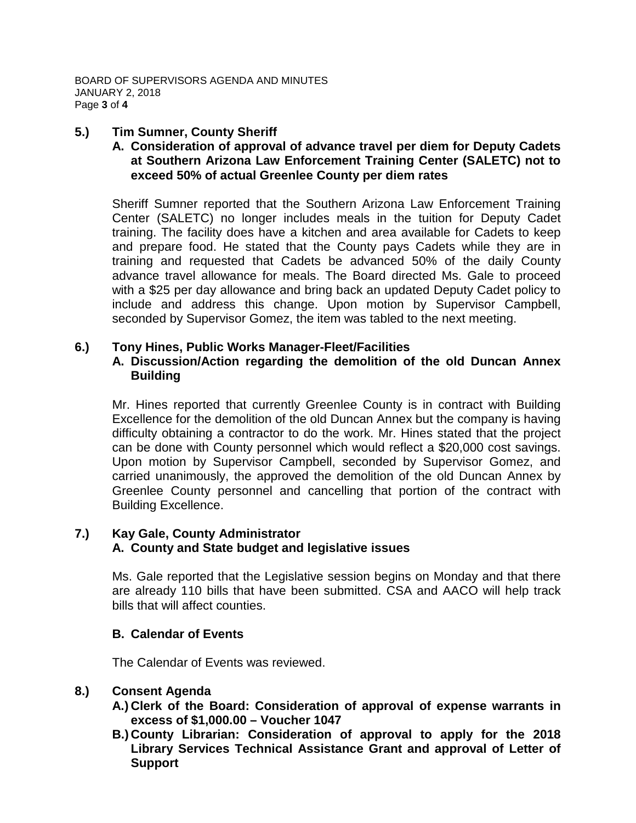# **5.) Tim Sumner, County Sheriff**

# **A. Consideration of approval of advance travel per diem for Deputy Cadets at Southern Arizona Law Enforcement Training Center (SALETC) not to exceed 50% of actual Greenlee County per diem rates**

Sheriff Sumner reported that the Southern Arizona Law Enforcement Training Center (SALETC) no longer includes meals in the tuition for Deputy Cadet training. The facility does have a kitchen and area available for Cadets to keep and prepare food. He stated that the County pays Cadets while they are in training and requested that Cadets be advanced 50% of the daily County advance travel allowance for meals. The Board directed Ms. Gale to proceed with a \$25 per day allowance and bring back an updated Deputy Cadet policy to include and address this change. Upon motion by Supervisor Campbell, seconded by Supervisor Gomez, the item was tabled to the next meeting.

## **6.) Tony Hines, Public Works Manager-Fleet/Facilities**

## **A. Discussion/Action regarding the demolition of the old Duncan Annex Building**

Mr. Hines reported that currently Greenlee County is in contract with Building Excellence for the demolition of the old Duncan Annex but the company is having difficulty obtaining a contractor to do the work. Mr. Hines stated that the project can be done with County personnel which would reflect a \$20,000 cost savings. Upon motion by Supervisor Campbell, seconded by Supervisor Gomez, and carried unanimously, the approved the demolition of the old Duncan Annex by Greenlee County personnel and cancelling that portion of the contract with Building Excellence.

# **7.) Kay Gale, County Administrator**

# **A. County and State budget and legislative issues**

Ms. Gale reported that the Legislative session begins on Monday and that there are already 110 bills that have been submitted. CSA and AACO will help track bills that will affect counties.

# **B. Calendar of Events**

The Calendar of Events was reviewed.

# **8.) Consent Agenda**

- **A.) Clerk of the Board: Consideration of approval of expense warrants in excess of \$1,000.00 – Voucher 1047**
- **B.) County Librarian: Consideration of approval to apply for the 2018 Library Services Technical Assistance Grant and approval of Letter of Support**